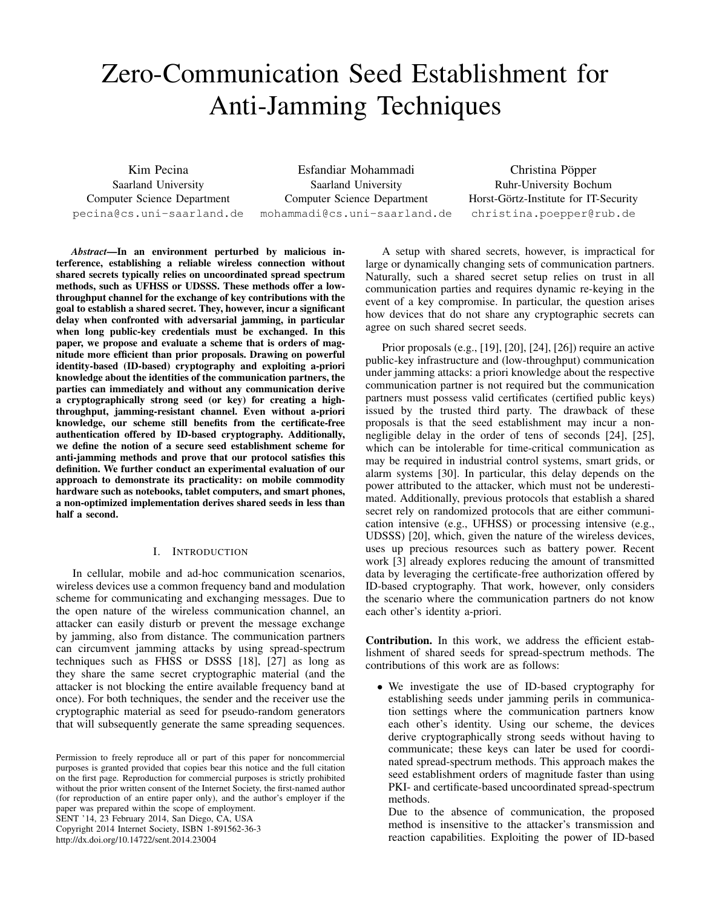# Zero-Communication Seed Establishment for Anti-Jamming Techniques

Kim Pecina Saarland University Computer Science Department pecina@cs.uni-saarland.de

Esfandiar Mohammadi Saarland University Computer Science Department mohammadi@cs.uni-saarland.de

Christina Pöpper Ruhr-University Bochum Horst-Görtz-Institute for IT-Security christina.poepper@rub.de

*Abstract*—In an environment perturbed by malicious interference, establishing a reliable wireless connection without shared secrets typically relies on uncoordinated spread spectrum methods, such as UFHSS or UDSSS. These methods offer a lowthroughput channel for the exchange of key contributions with the goal to establish a shared secret. They, however, incur a significant delay when confronted with adversarial jamming, in particular when long public-key credentials must be exchanged. In this paper, we propose and evaluate a scheme that is orders of magnitude more efficient than prior proposals. Drawing on powerful identity-based (ID-based) cryptography and exploiting a-priori knowledge about the identities of the communication partners, the parties can immediately and without any communication derive a cryptographically strong seed (or key) for creating a highthroughput, jamming-resistant channel. Even without a-priori knowledge, our scheme still benefits from the certificate-free authentication offered by ID-based cryptography. Additionally, we define the notion of a secure seed establishment scheme for anti-jamming methods and prove that our protocol satisfies this definition. We further conduct an experimental evaluation of our approach to demonstrate its practicality: on mobile commodity hardware such as notebooks, tablet computers, and smart phones, a non-optimized implementation derives shared seeds in less than half a second.

# I. INTRODUCTION

In cellular, mobile and ad-hoc communication scenarios, wireless devices use a common frequency band and modulation scheme for communicating and exchanging messages. Due to the open nature of the wireless communication channel, an attacker can easily disturb or prevent the message exchange by jamming, also from distance. The communication partners can circumvent jamming attacks by using spread-spectrum techniques such as FHSS or DSSS [\[18\]](#page-8-0), [\[27\]](#page-8-1) as long as they share the same secret cryptographic material (and the attacker is not blocking the entire available frequency band at once). For both techniques, the sender and the receiver use the cryptographic material as seed for pseudo-random generators that will subsequently generate the same spreading sequences.

SENT '14, 23 February 2014, San Diego, CA, USA

Copyright 2014 Internet Society, ISBN 1-891562-36-3

[http://dx.doi.org/10.14722/sent.2014.23](http://dx.doi.org/10.14722/sent.2014.23004)

A setup with shared secrets, however, is impractical for large or dynamically changing sets of communication partners. Naturally, such a shared secret setup relies on trust in all communication parties and requires dynamic re-keying in the event of a key compromise. In particular, the question arises how devices that do not share any cryptographic secrets can agree on such shared secret seeds.

Prior proposals (e.g., [\[19\]](#page-8-2), [\[20\]](#page-8-3), [\[24\]](#page-8-4), [\[26\]](#page-8-5)) require an active public-key infrastructure and (low-throughput) communication under jamming attacks: a priori knowledge about the respective communication partner is not required but the communication partners must possess valid certificates (certified public keys) issued by the trusted third party. The drawback of these proposals is that the seed establishment may incur a nonnegligible delay in the order of tens of seconds [\[24\]](#page-8-4), [\[25\]](#page-8-6), which can be intolerable for time-critical communication as may be required in industrial control systems, smart grids, or alarm systems [\[30\]](#page-8-7). In particular, this delay depends on the power attributed to the attacker, which must not be underestimated. Additionally, previous protocols that establish a shared secret rely on randomized protocols that are either communication intensive (e.g., UFHSS) or processing intensive (e.g., UDSSS) [\[20\]](#page-8-3), which, given the nature of the wireless devices, uses up precious resources such as battery power. Recent work [\[3\]](#page-7-0) already explores reducing the amount of transmitted data by leveraging the certificate-free authorization offered by ID-based cryptography. That work, however, only considers the scenario where the communication partners do not know each other's identity a-priori.

Contribution. In this work, we address the efficient establishment of shared seeds for spread-spectrum methods. The contributions of this work are as follows:

*•* We investigate the use of ID-based cryptography for establishing seeds under jamming perils in communication settings where the communication partners know each other's identity. Using our scheme, the devices derive cryptographically strong seeds without having to communicate; these keys can later be used for coordinated spread-spectrum methods. This approach makes the seed establishment orders of magnitude faster than using PKI- and certificate-based uncoordinated spread-spectrum methods.

Due to the absence of communication, the proposed method is insensitive to the attacker's transmission and reaction capabilities. Exploiting the power of ID-based

Permission to freely reproduce all or part of this paper for noncommercial purposes is granted provided that copies bear this notice and the full citation on the first page. Reproduction for commercial purposes is strictly prohibited without the prior written consent of the Internet Society, the first-named author (for reproduction of an entire paper only), and the author's employer if the paper was prepared within the scope of employment.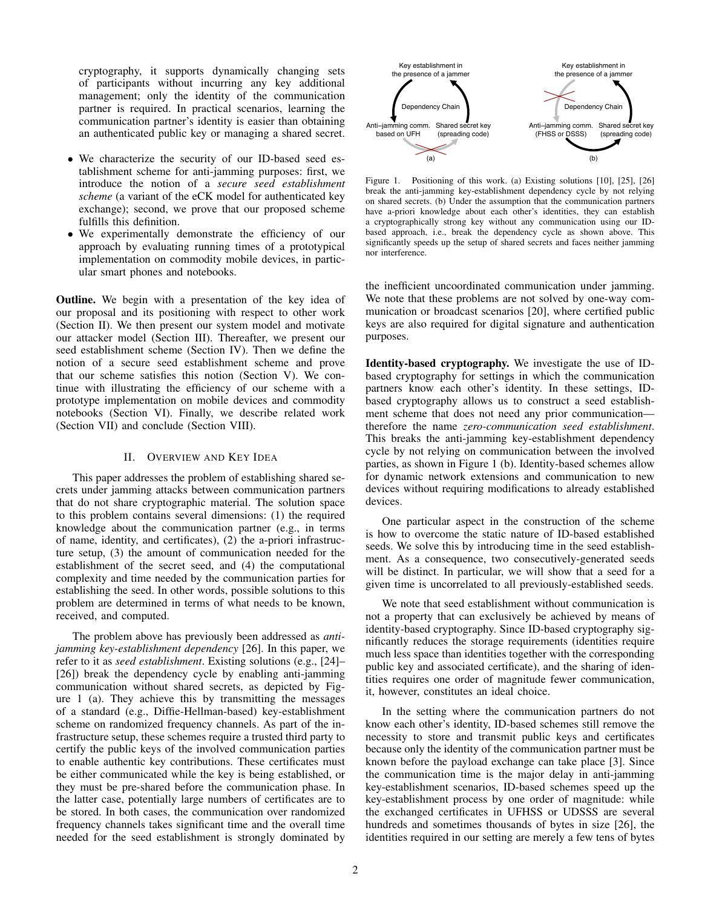cryptography, it supports dynamically changing sets of participants without incurring any key additional management; only the identity of the communication partner is required. In practical scenarios, learning the communication partner's identity is easier than obtaining an authenticated public key or managing a shared secret.

- We characterize the security of our ID-based seed establishment scheme for anti-jamming purposes: first, we introduce the notion of a *secure seed establishment scheme* (a variant of the eCK model for authenticated key exchange); second, we prove that our proposed scheme fulfills this definition.
- We experimentally demonstrate the efficiency of our approach by evaluating running times of a prototypical implementation on commodity mobile devices, in particular smart phones and notebooks.

Outline. We begin with a presentation of the key idea of our proposal and its positioning with respect to other work [\(Section II\)](#page-1-0). We then present our system model and motivate our attacker model [\(Section III\)](#page-2-0). Thereafter, we present our seed establishment scheme [\(Section IV\)](#page-2-1). Then we define the notion of a secure seed establishment scheme and prove that our scheme satisfies this notion [\(Section V\)](#page-3-0). We continue with illustrating the efficiency of our scheme with a prototype implementation on mobile devices and commodity notebooks [\(Section VI\)](#page-5-0). Finally, we describe related work [\(Section VII\)](#page-6-0) and conclude [\(Section VIII\)](#page-7-1).

# II. OVERVIEW AND KEY IDEA

<span id="page-1-0"></span>This paper addresses the problem of establishing shared secrets under jamming attacks between communication partners that do not share cryptographic material. The solution space to this problem contains several dimensions: (1) the required knowledge about the communication partner (e.g., in terms of name, identity, and certificates), (2) the a-priori infrastructure setup, (3) the amount of communication needed for the establishment of the secret seed, and (4) the computational complexity and time needed by the communication parties for establishing the seed. In other words, possible solutions to this problem are determined in terms of what needs to be known, received, and computed.

The problem above has previously been addressed as *antijamming key-establishment dependency* [\[26\]](#page-8-5). In this paper, we refer to it as *seed establishment*. Existing solutions (e.g., [\[24\]](#page-8-4)– [\[26\]](#page-8-5)) break the dependency cycle by enabling anti-jamming communication without shared secrets, as depicted by [Fig](#page-1-1)[ure 1](#page-1-1) (a). They achieve this by transmitting the messages of a standard (e.g., Diffie-Hellman-based) key-establishment scheme on randomized frequency channels. As part of the infrastructure setup, these schemes require a trusted third party to certify the public keys of the involved communication parties to enable authentic key contributions. These certificates must be either communicated while the key is being established, or they must be pre-shared before the communication phase. In the latter case, potentially large numbers of certificates are to be stored. In both cases, the communication over randomized frequency channels takes significant time and the overall time needed for the seed establishment is strongly dominated by



<span id="page-1-1"></span>Figure 1. Positioning of this work. (a) Existing solutions [\[10\]](#page-8-8), [\[25\]](#page-8-6), [\[26\]](#page-8-5) break the anti-jamming key-establishment dependency cycle by not relying on shared secrets. (b) Under the assumption that the communication partners have a-priori knowledge about each other's identities, they can establish a cryptographically strong key without any communication using our IDbased approach, i.e., break the dependency cycle as shown above. This significantly speeds up the setup of shared secrets and faces neither jamming nor interference.

the inefficient uncoordinated communication under jamming. We note that these problems are not solved by one-way communication or broadcast scenarios [\[20\]](#page-8-3), where certified public keys are also required for digital signature and authentication purposes.

Identity-based cryptography. We investigate the use of IDbased cryptography for settings in which the communication partners know each other's identity. In these settings, IDbased cryptography allows us to construct a seed establishment scheme that does not need any prior communication therefore the name *zero-communication seed establishment*. This breaks the anti-jamming key-establishment dependency cycle by not relying on communication between the involved parties, as shown in [Figure 1](#page-1-1) (b). Identity-based schemes allow for dynamic network extensions and communication to new devices without requiring modifications to already established devices.

One particular aspect in the construction of the scheme is how to overcome the static nature of ID-based established seeds. We solve this by introducing time in the seed establishment. As a consequence, two consecutively-generated seeds will be distinct. In particular, we will show that a seed for a given time is uncorrelated to all previously-established seeds.

We note that seed establishment without communication is not a property that can exclusively be achieved by means of identity-based cryptography. Since ID-based cryptography significantly reduces the storage requirements (identities require much less space than identities together with the corresponding public key and associated certificate), and the sharing of identities requires one order of magnitude fewer communication, it, however, constitutes an ideal choice.

In the setting where the communication partners do not know each other's identity, ID-based schemes still remove the necessity to store and transmit public keys and certificates because only the identity of the communication partner must be known before the payload exchange can take place [\[3\]](#page-7-0). Since the communication time is the major delay in anti-jamming key-establishment scenarios, ID-based schemes speed up the key-establishment process by one order of magnitude: while the exchanged certificates in UFHSS or UDSSS are several hundreds and sometimes thousands of bytes in size [\[26\]](#page-8-5), the identities required in our setting are merely a few tens of bytes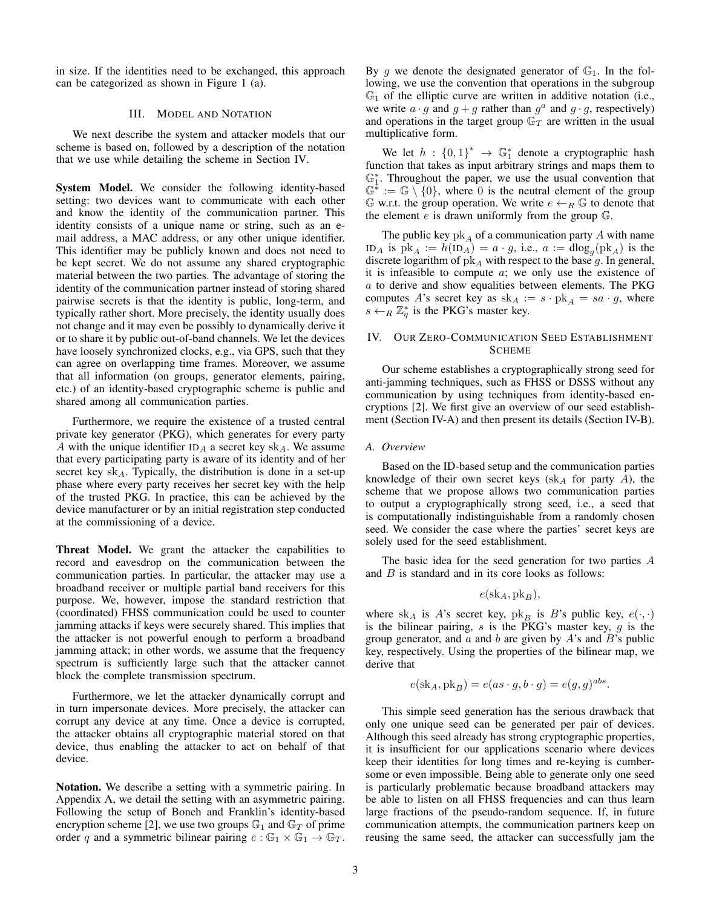in size. If the identities need to be exchanged, this approach can be categorized as shown in [Figure 1](#page-1-1) (a).

## III. MODEL AND NOTATION

<span id="page-2-0"></span>We next describe the system and attacker models that our scheme is based on, followed by a description of the notation that we use while detailing the scheme in [Section IV.](#page-2-1)

System Model. We consider the following identity-based setting: two devices want to communicate with each other and know the identity of the communication partner. This identity consists of a unique name or string, such as an email address, a MAC address, or any other unique identifier. This identifier may be publicly known and does not need to be kept secret. We do not assume any shared cryptographic material between the two parties. The advantage of storing the identity of the communication partner instead of storing shared pairwise secrets is that the identity is public, long-term, and typically rather short. More precisely, the identity usually does not change and it may even be possibly to dynamically derive it or to share it by public out-of-band channels. We let the devices have loosely synchronized clocks, e.g., via GPS, such that they can agree on overlapping time frames. Moreover, we assume that all information (on groups, generator elements, pairing, etc.) of an identity-based cryptographic scheme is public and shared among all communication parties.

Furthermore, we require the existence of a trusted central private key generator (PKG), which generates for every party *A* with the unique identifier ID*<sup>A</sup>* a secret key sk*A*. We assume that every participating party is aware of its identity and of her secret key sk*A*. Typically, the distribution is done in a set-up phase where every party receives her secret key with the help of the trusted PKG. In practice, this can be achieved by the device manufacturer or by an initial registration step conducted at the commissioning of a device.

Threat Model. We grant the attacker the capabilities to record and eavesdrop on the communication between the communication parties. In particular, the attacker may use a broadband receiver or multiple partial band receivers for this purpose. We, however, impose the standard restriction that (coordinated) FHSS communication could be used to counter jamming attacks if keys were securely shared. This implies that the attacker is not powerful enough to perform a broadband jamming attack; in other words, we assume that the frequency spectrum is sufficiently large such that the attacker cannot block the complete transmission spectrum.

Furthermore, we let the attacker dynamically corrupt and in turn impersonate devices. More precisely, the attacker can corrupt any device at any time. Once a device is corrupted, the attacker obtains all cryptographic material stored on that device, thus enabling the attacker to act on behalf of that device.

Notation. We describe a setting with a symmetric pairing. In [Appendix A,](#page-8-9) we detail the setting with an asymmetric pairing. Following the setup of Boneh and Franklin's identity-based encryption scheme [\[2\]](#page-7-2), we use two groups  $\mathbb{G}_1$  and  $\mathbb{G}_T$  of prime order *q* and a symmetric bilinear pairing  $e : \mathbb{G}_1 \times \mathbb{G}_1 \to \mathbb{G}_T$ .

By g we denote the designated generator of  $\mathbb{G}_1$ . In the following, we use the convention that operations in the subgroup  $\mathbb{G}_1$  of the elliptic curve are written in additive notation (i.e., we write  $a \cdot g$  and  $g + g$  rather than  $g^a$  and  $g \cdot g$ , respectively) and operations in the target group  $\mathbb{G}_T$  are written in the usual multiplicative form.

We let  $h: \{0,1\}^* \to \mathbb{G}_1^*$  denote a cryptographic hash function that takes as input arbitrary strings and maps them to  $\mathbb{G}_1^*$ . Throughout the paper, we use the usual convention that  $\mathbb{G}^* := \mathbb{G} \setminus \{0\}$ , where 0 is the neutral element of the group  $\mathbb{G}$  w.r.t. the group operation. We write  $e \leftarrow_R \mathbb{G}$  to denote that the element *e* is drawn uniformly from the group G.

The public key pk*<sup>A</sup>* of a communication party *A* with name ID<sub>A</sub> is  $pk_A := h(ID_A) = a \cdot g$ , i.e.,  $a := dlog_a(bk_A)$  is the discrete logarithm of  $pk_A$  with respect to the base g. In general, it is infeasible to compute *a*; we only use the existence of *a* to derive and show equalities between elements. The PKG computes *A*'s secret key as  $sk_A := s \cdot pk_A = sa \cdot g$ , where  $s \leftarrow_R \mathbb{Z}_q^*$  is the PKG's master key.

# <span id="page-2-1"></span>IV. OUR ZERO-COMMUNICATION SEED ESTABLISHMENT **SCHEME**

Our scheme establishes a cryptographically strong seed for anti-jamming techniques, such as FHSS or DSSS without any communication by using techniques from identity-based encryptions [\[2\]](#page-7-2). We first give an overview of our seed establishment [\(Section IV-A\)](#page-2-2) and then present its details [\(Section IV-B\)](#page-3-1).

#### <span id="page-2-2"></span>*A. Overview*

Based on the ID-based setup and the communication parties knowledge of their own secret keys (sk*<sup>A</sup>* for party *A*), the scheme that we propose allows two communication parties to output a cryptographically strong seed, i.e., a seed that is computationally indistinguishable from a randomly chosen seed. We consider the case where the parties' secret keys are solely used for the seed establishment.

The basic idea for the seed generation for two parties *A* and *B* is standard and in its core looks as follows:

$$
e(\mathrm{sk}_A, \mathrm{pk}_B),
$$

where sk<sub>*A*</sub> is *A*'s secret key,  $pk_B$  is *B*'s public key,  $e(\cdot, \cdot)$ is the bilinear pairing, *s* is the PKG's master key, *g* is the group generator, and *a* and *b* are given by *A*'s and *B*'s public key, respectively. Using the properties of the bilinear map, we derive that

$$
e(\mathrm{sk}_A, \mathrm{pk}_B) = e(as \cdot g, b \cdot g) = e(g, g)^{abs}.
$$

This simple seed generation has the serious drawback that only one unique seed can be generated per pair of devices. Although this seed already has strong cryptographic properties, it is insufficient for our applications scenario where devices keep their identities for long times and re-keying is cumbersome or even impossible. Being able to generate only one seed is particularly problematic because broadband attackers may be able to listen on all FHSS frequencies and can thus learn large fractions of the pseudo-random sequence. If, in future communication attempts, the communication partners keep on reusing the same seed, the attacker can successfully jam the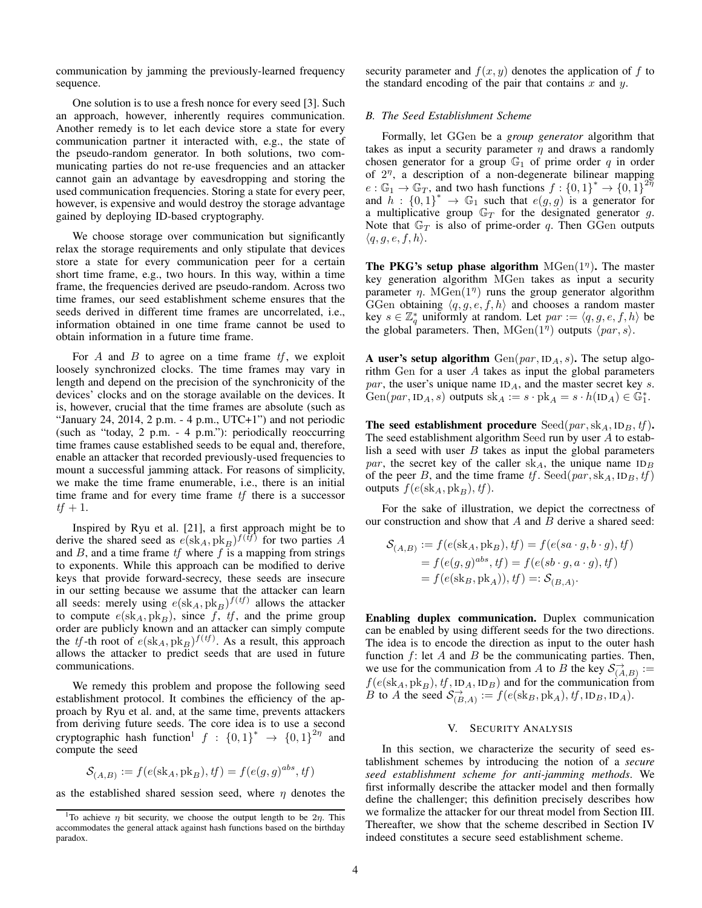communication by jamming the previously-learned frequency sequence.

One solution is to use a fresh nonce for every seed [\[3\]](#page-7-0). Such an approach, however, inherently requires communication. Another remedy is to let each device store a state for every communication partner it interacted with, e.g., the state of the pseudo-random generator. In both solutions, two communicating parties do not re-use frequencies and an attacker cannot gain an advantage by eavesdropping and storing the used communication frequencies. Storing a state for every peer, however, is expensive and would destroy the storage advantage gained by deploying ID-based cryptography.

We choose storage over communication but significantly relax the storage requirements and only stipulate that devices store a state for every communication peer for a certain short time frame, e.g., two hours. In this way, within a time frame, the frequencies derived are pseudo-random. Across two time frames, our seed establishment scheme ensures that the seeds derived in different time frames are uncorrelated, i.e., information obtained in one time frame cannot be used to obtain information in a future time frame.

For *A* and *B* to agree on a time frame *tf*, we exploit loosely synchronized clocks. The time frames may vary in length and depend on the precision of the synchronicity of the devices' clocks and on the storage available on the devices. It is, however, crucial that the time frames are absolute (such as "January 24, 2014, 2 p.m.  $-$  4 p.m., UTC+1") and not periodic (such as "today, 2 p.m. - 4 p.m."): periodically reoccurring time frames cause established seeds to be equal and, therefore, enable an attacker that recorded previously-used frequencies to mount a successful jamming attack. For reasons of simplicity, we make the time frame enumerable, i.e., there is an initial time frame and for every time frame *tf* there is a successor  $tf + 1.$ 

Inspired by Ryu et al. [\[21\]](#page-8-10), a first approach might be to derive the shared seed as  $e(\text{sk}_A, \text{pk}_B)$ <sup> $f(tf)$ </sup> for two parties *A* and *B*, and a time frame *tf* where *f* is a mapping from strings to exponents. While this approach can be modified to derive keys that provide forward-secrecy, these seeds are insecure in our setting because we assume that the attacker can learn all seeds: merely using  $e$ (sk<sub>*A*</sub>, pk<sub>*B*</sub>)</sub> $f$ <sup>(*tf*)</sup> allows the attacker to compute  $e(\text{sk}_A, \text{pk}_B)$ , since f, tf, and the prime group order are publicly known and an attacker can simply compute the *tf*-th root of  $e(\text{sk}_A, \text{pk}_B)$ <sup> $f(tf)$ </sup>. As a result, this approach allows the attacker to predict seeds that are used in future communications.

We remedy this problem and propose the following seed establishment protocol. It combines the efficiency of the approach by Ryu et al. and, at the same time, prevents attackers from deriving future seeds. The core idea is to use a second cryptographic hash function<sup>1</sup>  $f : \{0,1\}^* \rightarrow \{0,1\}^{2\eta}$  and compute the seed

$$
\mathcal{S}_{(A,B)} := f(e(\mathrm{sk}_A, \mathrm{pk}_B), \mathit{tf}) = f(e(g,g)^{abs}, \mathit{tf})
$$

as the established shared session seed, where  $\eta$  denotes the

security parameter and  $f(x, y)$  denotes the application of  $f$  to the standard encoding of the pair that contains *x* and *y*.

# <span id="page-3-1"></span>*B. The Seed Establishment Scheme*

Formally, let GGen be a *group generator* algorithm that takes as input a security parameter  $\eta$  and draws a randomly chosen generator for a group  $\mathbb{G}_1$  of prime order  $q$  in order of  $2<sup>\eta</sup>$ , a description of a non-degenerate bilinear mapping  $e : \mathbb{G}_1 \to \mathbb{G}_T$ , and two hash functions  $f : \{0,1\}^* \to \{0,1\}^{27}$ and  $h: \{0,1\}^* \to \mathbb{G}_1$  such that  $e(g, g)$  is a generator for a multiplicative group G*<sup>T</sup>* for the designated generator *g*. Note that  $\mathbb{G}_T$  is also of prime-order q. Then GGen outputs  $\langle q, g, e, f, h \rangle$ .

The PKG's setup phase algorithm  $MGen(1<sup>\eta</sup>)$ . The master key generation algorithm MGen takes as input a security parameter  $\eta$ . MGen(1<sup> $\eta$ </sup>) runs the group generator algorithm GGen obtaining  $\langle q, q, e, f, h \rangle$  and chooses a random master key  $s \in \mathbb{Z}_q^*$  uniformly at random. Let  $par := \langle q, g, e, f, h \rangle$  be the global parameters. Then,  $MGen(1<sup>\eta</sup>)$  outputs  $\langle par, s \rangle$ .

A user's setup algorithm  $Gen(par, ID<sub>A</sub>, s)$ . The setup algorithm Gen for a user *A* takes as input the global parameters *par* , the user's unique name ID*A*, and the master secret key *s*. Gen $(par, ID_A, s)$  outputs  $sk_A := s \cdot pk_A = s \cdot h(ID_A) \in \mathbb{G}_1^*$ .

**The seed establishment procedure**  $\text{Seed}(par, sk_A, \text{ID}_B, tf)$ . The seed establishment algorithm Seed run by user *A* to establish a seed with user *B* takes as input the global parameters *par*, the secret key of the caller  $sk<sub>A</sub>$ , the unique name  $ID<sub>B</sub>$ of the peer *B*, and the time frame  $tf$ . Seed( $par$ ,  $sk_A$ ,  $ID_B$ ,  $tf$ ) outputs  $f(e(\text{sk}_A, \text{pk}_B), tf)$ .

For the sake of illustration, we depict the correctness of our construction and show that *A* and *B* derive a shared seed:

$$
S_{(A,B)} := f(e(sk_A, pk_B), tf) = f(e(sa \cdot g, b \cdot g), tf)
$$
  
= f(e(g, g)<sup>abs</sup>, tf) = f(e(sb \cdot g, a \cdot g), tf)  
= f(e(sk\_B, pk\_A)), tf) =: S\_{(B,A)}.

Enabling duplex communication. Duplex communication can be enabled by using different seeds for the two directions. The idea is to encode the direction as input to the outer hash function *f*: let *A* and *B* be the communicating parties. Then, we use for the communication from *A* to *B* the key  $\mathcal{S}^{\to}_{(A,B)}$  :=  $f(e(\text{sk}_A, \text{pk}_B), tf, \text{ID}_A, \text{ID}_B)$  and for the communication from *B* to *A* the seed  $S_{(B,A)}^{\to} := f(e(\text{sk}_B, \text{pk}_A), \text{tf}, \text{ID}_B, \text{ID}_A)$ .

## V. SECURITY ANALYSIS

<span id="page-3-0"></span>In this section, we characterize the security of seed establishment schemes by introducing the notion of a *secure seed establishment scheme for anti-jamming methods*. We first informally describe the attacker model and then formally define the challenger; this definition precisely describes how we formalize the attacker for our threat model from Section [III.](#page-2-0) Thereafter, we show that the scheme described in [Section IV](#page-2-1) indeed constitutes a secure seed establishment scheme.

<span id="page-3-2"></span><sup>&</sup>lt;sup>1</sup>To achieve  $\eta$  bit security, we choose the output length to be  $2\eta$ . This accommodates the general attack against hash functions based on the birthday paradox.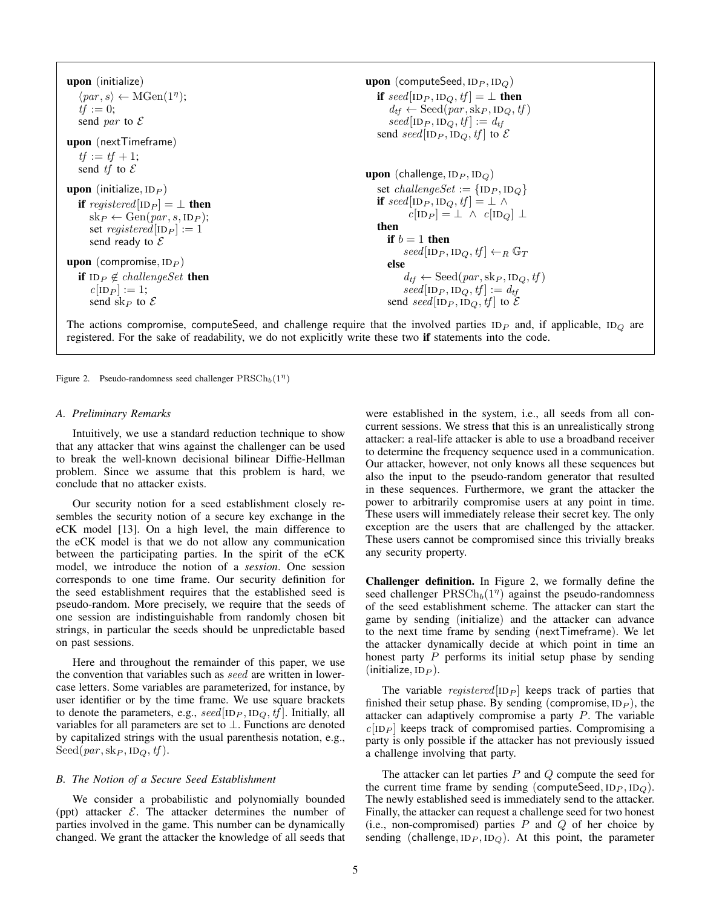upon (initialize)  $\langle par, s \rangle \leftarrow \text{MGen}(1^\eta);$  $tf := 0;$ send *par* to *E* upon (nextTimeframe)  $tf := tf + 1;$ send *tf* to *E* upon (initialize*,* ID*<sup>P</sup>* ) if *registered*  $|ID_P| = \perp$  then  $sk_P \leftarrow Gen(par, s, ID_P);$ set *registered*  $[ID_P] := 1$ send ready to *E* upon (compromise*,* ID*<sup>P</sup>* ) if  $ID_P \notin challengeSet$  then  $c[ID_P] := 1;$ send sk<sub>*P*</sub> to  $\mathcal E$ upon (computeSeed*,* ID*<sup>P</sup> ,* ID*Q*) if  $seed[ID_P, ID_Q, tf] = \perp$  then  $d_{tf} \leftarrow \text{Seed}(par, \text{sk}_P, \text{ID}_Q, tf)$  $seed[ID_P, ID_Q, tf] := d_{tf}$ send *seed*[ID<sub>*P*</sub>, ID<sub>*Q*</sub>, tf] to  $\mathcal{E}$ upon (challenge*,* ID*<sup>P</sup> ,* ID*Q*) set *challengeSet* :=  $\{ID_P, ID_Q\}$ if  $seed[ID_P, ID_Q, tf] = \perp \wedge$  $c[ID_P] = \perp \wedge c[ID_Q] \perp$ then if  $b = 1$  then  $seed[ID_P, ID_Q, tf] \leftarrow_R \mathbb{G}_T$ else  $d_{tf} \leftarrow \text{Seed}(par, \text{sk}_P, \text{ID}_Q, tf)$  $seed[ID_P, ID_Q, tf] := d_{tf}$ send *seed*[ID<sub>*P*</sub>, ID<sub>*Q*</sub>, *tf*] to  $\mathcal{E}$ 

The actions compromise, computeSeed, and challenge require that the involved parties ID*<sup>P</sup>* and, if applicable, ID*<sup>Q</sup>* are registered. For the sake of readability, we do not explicitly write these two if statements into the code.

<span id="page-4-0"></span>Figure 2. Pseudo-randomness seed challenger  $\text{PRSCh}_b(1^n)$ 

# *A. Preliminary Remarks*

Intuitively, we use a standard reduction technique to show that any attacker that wins against the challenger can be used to break the well-known decisional bilinear Diffie-Hellman problem. Since we assume that this problem is hard, we conclude that no attacker exists.

Our security notion for a seed establishment closely resembles the security notion of a secure key exchange in the eCK model [\[13\]](#page-8-11). On a high level, the main difference to the eCK model is that we do not allow any communication between the participating parties. In the spirit of the eCK model, we introduce the notion of a *session*. One session corresponds to one time frame. Our security definition for the seed establishment requires that the established seed is pseudo-random. More precisely, we require that the seeds of one session are indistinguishable from randomly chosen bit strings, in particular the seeds should be unpredictable based on past sessions.

Here and throughout the remainder of this paper, we use the convention that variables such as *seed* are written in lowercase letters. Some variables are parameterized, for instance, by user identifier or by the time frame. We use square brackets to denote the parameters, e.g.,  $seed[ID_P, ID_Q, tf]$ . Initially, all variables for all parameters are set to  $\perp$ . Functions are denoted by capitalized strings with the usual parenthesis notation, e.g.,  $\text{Seed}(par, \text{sk}_P, \text{ID}_Q, \text{tf}).$ 

## *B. The Notion of a Secure Seed Establishment*

We consider a probabilistic and polynomially bounded (ppt) attacker *E*. The attacker determines the number of parties involved in the game. This number can be dynamically changed. We grant the attacker the knowledge of all seeds that were established in the system, i.e., all seeds from all concurrent sessions. We stress that this is an unrealistically strong attacker: a real-life attacker is able to use a broadband receiver to determine the frequency sequence used in a communication. Our attacker, however, not only knows all these sequences but also the input to the pseudo-random generator that resulted in these sequences. Furthermore, we grant the attacker the power to arbitrarily compromise users at any point in time. These users will immediately release their secret key. The only exception are the users that are challenged by the attacker. These users cannot be compromised since this trivially breaks any security property.

Challenger definition. In [Figure 2,](#page-4-0) we formally define the seed challenger  $\text{PRSCh}_b(1)$ <sup>n</sup> against the pseudo-randomness of the seed establishment scheme. The attacker can start the game by sending (initialize) and the attacker can advance to the next time frame by sending (nextTimeframe). We let the attacker dynamically decide at which point in time an honest party *P* performs its initial setup phase by sending (initialize*,* ID*<sup>P</sup>* ).

The variable *registered* [ID<sub>*P*</sub>] keeps track of parties that finished their setup phase. By sending (compromise*,* ID*<sup>P</sup>* ), the attacker can adaptively compromise a party *P*. The variable  $c|ID_P|$  keeps track of compromised parties. Compromising a party is only possible if the attacker has not previously issued a challenge involving that party.

The attacker can let parties *P* and *Q* compute the seed for the current time frame by sending (computeSeed,  $ID_P$ ,  $ID_Q$ ). The newly established seed is immediately send to the attacker. Finally, the attacker can request a challenge seed for two honest (i.e., non-compromised) parties *P* and *Q* of her choice by sending (challenge,  $ID_P$ ,  $ID_Q$ ). At this point, the parameter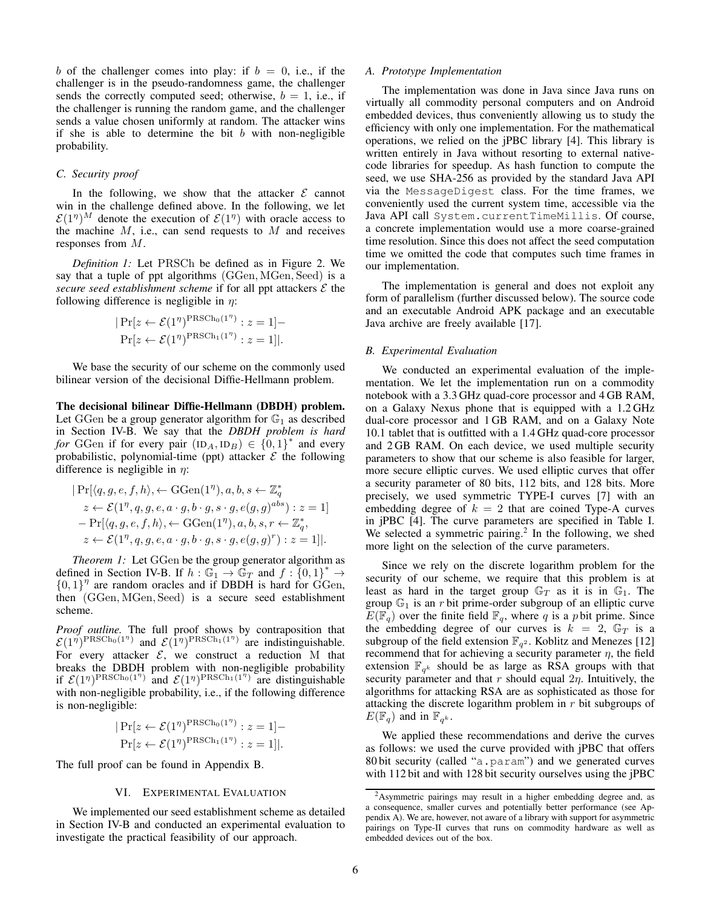*b* of the challenger comes into play: if  $b = 0$ , i.e., if the challenger is in the pseudo-randomness game, the challenger sends the correctly computed seed; otherwise,  $b = 1$ , i.e., if the challenger is running the random game, and the challenger sends a value chosen uniformly at random. The attacker wins if she is able to determine the bit *b* with non-negligible probability.

### *C. Security proof*

In the following, we show that the attacker  $\mathcal E$  cannot win in the challenge defined above. In the following, we let  $\mathcal{E}(1^n)^M$  denote the execution of  $\mathcal{E}(1^n)$  with oracle access to the machine *M*, i.e., can send requests to *M* and receives responses from *M*.

*Definition 1:* Let PRSCh be defined as in [Figure 2.](#page-4-0) We say that a tuple of ppt algorithms (GGen*,* MGen*,* Seed) is a *secure seed establishment scheme* if for all ppt attackers *E* the following difference is negligible in  $\eta$ :

$$
|\Pr[z \leftarrow \mathcal{E}(1^{\eta})^{\text{PRSCh}_0(1^{\eta})}: z = 1] -
$$
  

$$
Pr[z \leftarrow \mathcal{E}(1^{\eta})^{\text{PRSCh}_1(1^{\eta})}: z = 1]|.
$$

We base the security of our scheme on the commonly used bilinear version of the decisional Diffie-Hellmann problem.

The decisional bilinear Diffie-Hellmann (DBDH) problem. Let GGen be a group generator algorithm for  $\mathbb{G}_1$  as described in [Section IV-B.](#page-3-1) We say that the *DBDH problem is hard for* GGen if for every pair  $(ID_A, ID_B) \in \{0, 1\}^*$  and every probabilistic, polynomial-time (ppt) attacker  $\mathcal E$  the following difference is negligible in  $\eta$ :

$$
|\Pr[\langle q, g, e, f, h \rangle, \leftarrow \text{GGen}(1^\eta), a, b, s \leftarrow \mathbb{Z}_q^*
$$
  
\n
$$
z \leftarrow \mathcal{E}(1^\eta, q, g, e, a \cdot g, b \cdot g, s \cdot g, e(g, g)^{abs}) : z = 1]
$$
  
\n
$$
-\Pr[\langle q, g, e, f, h \rangle, \leftarrow \text{GGen}(1^\eta), a, b, s, r \leftarrow \mathbb{Z}_q^*,
$$
  
\n
$$
z \leftarrow \mathcal{E}(1^\eta, q, g, e, a \cdot g, b \cdot g, s \cdot g, e(g, g)^r) : z = 1]|.
$$

<span id="page-5-2"></span>*Theorem 1:* Let GGen be the group generator algorithm as defined in [Section IV-B.](#page-3-1) If  $h : \mathbb{G}_1 \to \mathbb{G}_T$  and  $f : \{0,1\}^* \to$  ${0, 1}^n$  are random oracles and if DBDH is hard for GGen, then (GGen*,* MGen*,* Seed) is a secure seed establishment scheme.

*Proof outline.* The full proof shows by contraposition that  $\mathcal{E}(1^{\eta})^{\text{PRSCh}_0(1^{\eta})}$  and  $\mathcal{E}(1^{\eta})^{\text{PRSCh}_1(1^{\eta})}$  are indistinguishable. For every attacker  $\mathcal{E}$ , we construct a reduction M that breaks the DBDH problem with non-negligible probability if  $\mathcal{E}(1^{\eta})^{\text{PRSCh}_0(1^{\eta})}$  and  $\mathcal{E}(1^{\eta})^{\text{PRSCh}_1(1^{\eta})}$  are distinguishable with non-negligible probability, i.e., if the following difference is non-negligible:

$$
|\Pr[z \leftarrow \mathcal{E}(1^{\eta})^{\text{PRSCh}_0(1^{\eta})}: z = 1] -
$$
  

$$
Pr[z \leftarrow \mathcal{E}(1^{\eta})^{\text{PRSCh}_1(1^{\eta})}: z = 1]|.
$$

<span id="page-5-0"></span>The full proof can be found in [Appendix B.](#page-8-12)

## VI. EXPERIMENTAL EVALUATION

We implemented our seed establishment scheme as detailed in [Section IV-B](#page-3-1) and conducted an experimental evaluation to investigate the practical feasibility of our approach.

#### *A. Prototype Implementation*

The implementation was done in Java since Java runs on virtually all commodity personal computers and on Android embedded devices, thus conveniently allowing us to study the efficiency with only one implementation. For the mathematical operations, we relied on the jPBC library [\[4\]](#page-7-3). This library is written entirely in Java without resorting to external nativecode libraries for speedup. As hash function to compute the seed, we use SHA-256 as provided by the standard Java API via the MessageDigest class. For the time frames, we conveniently used the current system time, accessible via the Java API call System.currentTimeMillis. Of course, a concrete implementation would use a more coarse-grained time resolution. Since this does not affect the seed computation time we omitted the code that computes such time frames in our implementation.

The implementation is general and does not exploit any form of parallelism (further discussed below). The source code and an executable Android APK package and an executable Java archive are freely available [\[17\]](#page-8-13).

#### *B. Experimental Evaluation*

We conducted an experimental evaluation of the implementation. We let the implementation run on a commodity notebook with a 3.3 GHz quad-core processor and 4 GB RAM, on a Galaxy Nexus phone that is equipped with a 1.2 GHz dual-core processor and 1 GB RAM, and on a Galaxy Note 10.1 tablet that is outfitted with a 1.4 GHz quad-core processor and 2 GB RAM. On each device, we used multiple security parameters to show that our scheme is also feasible for larger, more secure elliptic curves. We used elliptic curves that offer a security parameter of 80 bits, 112 bits, and 128 bits. More precisely, we used symmetric TYPE-I curves [\[7\]](#page-8-14) with an embedding degree of  $k = 2$  that are coined Type-A curves in jPBC [\[4\]](#page-7-3). The curve parameters are specified in Table [I.](#page-6-1) We selected a symmetric pairing.<sup>[2](#page-5-1)</sup> In the following, we shed more light on the selection of the curve parameters.

Since we rely on the discrete logarithm problem for the security of our scheme, we require that this problem is at least as hard in the target group  $\mathbb{G}_T$  as it is in  $\mathbb{G}_1$ . The group  $\mathbb{G}_1$  is an *r* bit prime-order subgroup of an elliptic curve  $E(\mathbb{F}_q)$  over the finite field  $\mathbb{F}_q$ , where *q* is a *p* bit prime. Since the embedding degree of our curves is  $k = 2$ ,  $\mathbb{G}_T$  is a subgroup of the field extension  $\mathbb{F}_{q^2}$ . Koblitz and Menezes [\[12\]](#page-8-15) recommend that for achieving a security parameter  $\eta$ , the field extension  $\mathbb{F}_{q^k}$  should be as large as RSA groups with that security parameter and that  $r$  should equal  $2\eta$ . Intuitively, the algorithms for attacking RSA are as sophisticated as those for attacking the discrete logarithm problem in *r* bit subgroups of  $E(\mathbb{F}_q)$  and in  $\mathbb{F}_{q^k}$ .

We applied these recommendations and derive the curves as follows: we used the curve provided with jPBC that offers 80 bit security (called "a.param") and we generated curves with 112 bit and with 128 bit security ourselves using the jPBC

<span id="page-5-1"></span><sup>2</sup>Asymmetric pairings may result in a higher embedding degree and, as a consequence, smaller curves and potentially better performance (see [Ap](#page-8-9)[pendix A\)](#page-8-9). We are, however, not aware of a library with support for asymmetric pairings on Type-II curves that runs on commodity hardware as well as embedded devices out of the box.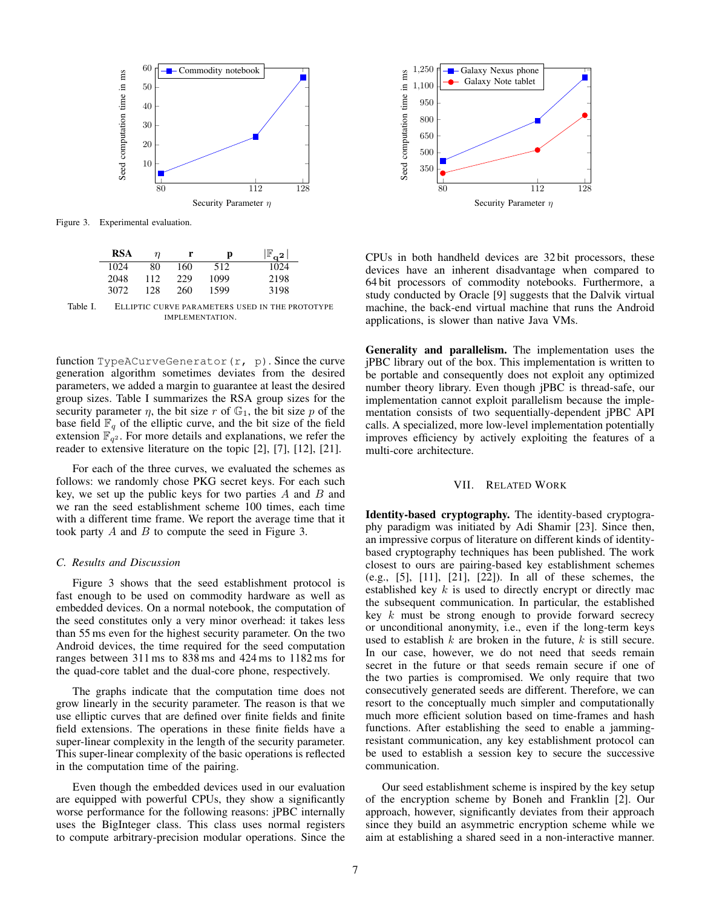

Figure 3. Experimental evaluation.

<span id="page-6-2"></span>

| RSA  | η   | r   | р    | $_{\mathbb{F}}$<br>$\sim$ <sup>2</sup> |
|------|-----|-----|------|----------------------------------------|
| 1024 | 80  | 160 | 512  | 1024                                   |
| 2048 | 112 | 229 | 1099 | 2198                                   |
| 3072 | 128 | 260 | 1599 | 3198                                   |

<span id="page-6-1"></span>Table I. ELLIPTIC CURVE PARAMETERS USED IN THE PROTOTYPE IMPLEMENTATION.

function TypeACurveGenerator(r, p). Since the curve generation algorithm sometimes deviates from the desired parameters, we added a margin to guarantee at least the desired group sizes. Table [I](#page-6-1) summarizes the RSA group sizes for the security parameter  $\eta$ , the bit size  $r$  of  $\mathbb{G}_1$ , the bit size  $p$  of the base field  $\mathbb{F}_q$  of the elliptic curve, and the bit size of the field extension  $\mathbb{F}_{q^2}$ . For more details and explanations, we refer the reader to extensive literature on the topic [\[2\]](#page-7-2), [\[7\]](#page-8-14), [\[12\]](#page-8-15), [\[21\]](#page-8-10).

For each of the three curves, we evaluated the schemes as follows: we randomly chose PKG secret keys. For each such key, we set up the public keys for two parties *A* and *B* and we ran the seed establishment scheme 100 times, each time with a different time frame. We report the average time that it took party *A* and *B* to compute the seed in [Figure 3.](#page-6-2)

## *C. Results and Discussion*

[Figure 3](#page-6-2) shows that the seed establishment protocol is fast enough to be used on commodity hardware as well as embedded devices. On a normal notebook, the computation of the seed constitutes only a very minor overhead: it takes less than 55 ms even for the highest security parameter. On the two Android devices, the time required for the seed computation ranges between 311 ms to 838 ms and 424 ms to 1182 ms for the quad-core tablet and the dual-core phone, respectively.

The graphs indicate that the computation time does not grow linearly in the security parameter. The reason is that we use elliptic curves that are defined over finite fields and finite field extensions. The operations in these finite fields have a super-linear complexity in the length of the security parameter. This super-linear complexity of the basic operations is reflected in the computation time of the pairing.

Even though the embedded devices used in our evaluation are equipped with powerful CPUs, they show a significantly worse performance for the following reasons: jPBC internally uses the BigInteger class. This class uses normal registers to compute arbitrary-precision modular operations. Since the



CPUs in both handheld devices are 32 bit processors, these devices have an inherent disadvantage when compared to 64 bit processors of commodity notebooks. Furthermore, a study conducted by Oracle [\[9\]](#page-8-16) suggests that the Dalvik virtual machine, the back-end virtual machine that runs the Android applications, is slower than native Java VMs.

Generality and parallelism. The implementation uses the jPBC library out of the box. This implementation is written to be portable and consequently does not exploit any optimized number theory library. Even though jPBC is thread-safe, our implementation cannot exploit parallelism because the implementation consists of two sequentially-dependent jPBC API calls. A specialized, more low-level implementation potentially improves efficiency by actively exploiting the features of a multi-core architecture.

## VII. RELATED WORK

<span id="page-6-0"></span>Identity-based cryptography. The identity-based cryptography paradigm was initiated by Adi Shamir [\[23\]](#page-8-17). Since then, an impressive corpus of literature on different kinds of identitybased cryptography techniques has been published. The work closest to ours are pairing-based key establishment schemes (e.g., [\[5\]](#page-7-4), [\[11\]](#page-8-18), [\[21\]](#page-8-10), [\[22\]](#page-8-19)). In all of these schemes, the established key *k* is used to directly encrypt or directly mac the subsequent communication. In particular, the established key *k* must be strong enough to provide forward secrecy or unconditional anonymity, i.e., even if the long-term keys used to establish *k* are broken in the future, *k* is still secure. In our case, however, we do not need that seeds remain secret in the future or that seeds remain secure if one of the two parties is compromised. We only require that two consecutively generated seeds are different. Therefore, we can resort to the conceptually much simpler and computationally much more efficient solution based on time-frames and hash functions. After establishing the seed to enable a jammingresistant communication, any key establishment protocol can be used to establish a session key to secure the successive communication.

Our seed establishment scheme is inspired by the key setup of the encryption scheme by Boneh and Franklin [\[2\]](#page-7-2). Our approach, however, significantly deviates from their approach since they build an asymmetric encryption scheme while we aim at establishing a shared seed in a non-interactive manner.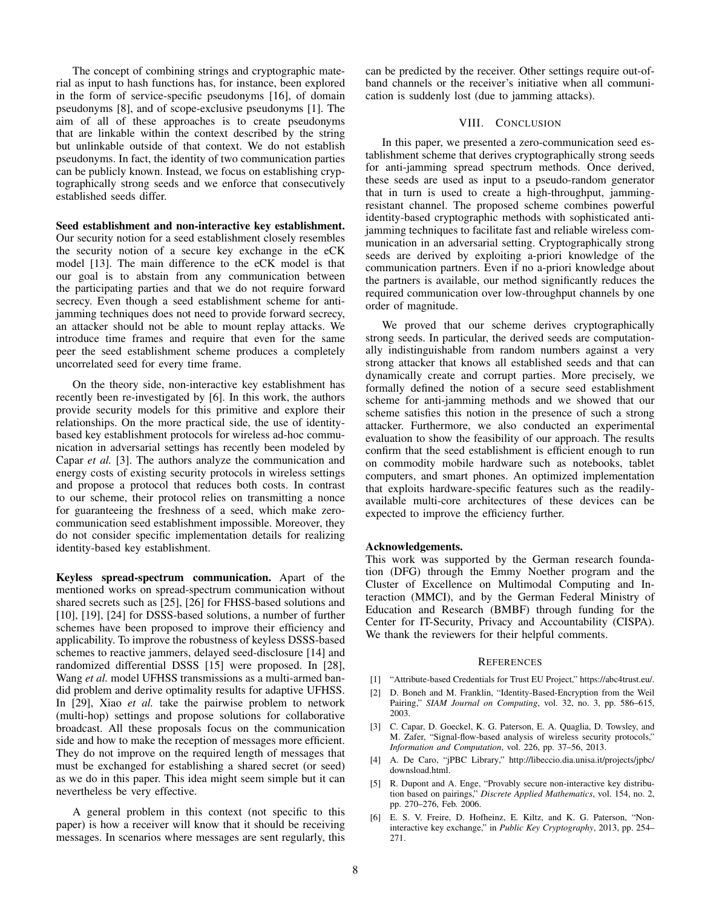The concept of combining strings and cryptographic material as input to hash functions has, for instance, been explored in the form of service-specific pseudonyms [\[16\]](#page-8-20), of domain pseudonyms [\[8\]](#page-8-21), and of scope-exclusive pseudonyms [\[1\]](#page-7-5). The aim of all of these approaches is to create pseudonyms that are linkable within the context described by the string but unlinkable outside of that context. We do not establish pseudonyms. In fact, the identity of two communication parties can be publicly known. Instead, we focus on establishing cryptographically strong seeds and we enforce that consecutively established seeds differ.

## Seed establishment and non-interactive key establishment.

Our security notion for a seed establishment closely resembles the security notion of a secure key exchange in the eCK model [\[13\]](#page-8-11). The main difference to the eCK model is that our goal is to abstain from any communication between the participating parties and that we do not require forward secrecy. Even though a seed establishment scheme for antijamming techniques does not need to provide forward secrecy, an attacker should not be able to mount replay attacks. We introduce time frames and require that even for the same peer the seed establishment scheme produces a completely uncorrelated seed for every time frame.

On the theory side, non-interactive key establishment has recently been re-investigated by [\[6\]](#page-7-6). In this work, the authors provide security models for this primitive and explore their relationships. On the more practical side, the use of identitybased key establishment protocols for wireless ad-hoc communication in adversarial settings has recently been modeled by Capar *et al.* [\[3\]](#page-7-0). The authors analyze the communication and energy costs of existing security protocols in wireless settings and propose a protocol that reduces both costs. In contrast to our scheme, their protocol relies on transmitting a nonce for guaranteeing the freshness of a seed, which make zerocommunication seed establishment impossible. Moreover, they do not consider specific implementation details for realizing identity-based key establishment.

Keyless spread-spectrum communication. Apart of the mentioned works on spread-spectrum communication without shared secrets such as [\[25\]](#page-8-6), [\[26\]](#page-8-5) for FHSS-based solutions and [\[10\]](#page-8-8), [\[19\]](#page-8-2), [\[24\]](#page-8-4) for DSSS-based solutions, a number of further schemes have been proposed to improve their efficiency and applicability. To improve the robustness of keyless DSSS-based schemes to reactive jammers, delayed seed-disclosure [\[14\]](#page-8-22) and randomized differential DSSS [\[15\]](#page-8-23) were proposed. In [\[28\]](#page-8-24), Wang *et al.* model UFHSS transmissions as a multi-armed bandid problem and derive optimality results for adaptive UFHSS. In [\[29\]](#page-8-25), Xiao *et al.* take the pairwise problem to network (multi-hop) settings and propose solutions for collaborative broadcast. All these proposals focus on the communication side and how to make the reception of messages more efficient. They do not improve on the required length of messages that must be exchanged for establishing a shared secret (or seed) as we do in this paper. This idea might seem simple but it can nevertheless be very effective.

A general problem in this context (not specific to this paper) is how a receiver will know that it should be receiving messages. In scenarios where messages are sent regularly, this can be predicted by the receiver. Other settings require out-ofband channels or the receiver's initiative when all communication is suddenly lost (due to jamming attacks).

## VIII. CONCLUSION

<span id="page-7-1"></span>In this paper, we presented a zero-communication seed establishment scheme that derives cryptographically strong seeds for anti-jamming spread spectrum methods. Once derived, these seeds are used as input to a pseudo-random generator that in turn is used to create a high-throughput, jammingresistant channel. The proposed scheme combines powerful identity-based cryptographic methods with sophisticated antijamming techniques to facilitate fast and reliable wireless communication in an adversarial setting. Cryptographically strong seeds are derived by exploiting a-priori knowledge of the communication partners. Even if no a-priori knowledge about the partners is available, our method significantly reduces the required communication over low-throughput channels by one order of magnitude.

We proved that our scheme derives cryptographically strong seeds. In particular, the derived seeds are computationally indistinguishable from random numbers against a very strong attacker that knows all established seeds and that can dynamically create and corrupt parties. More precisely, we formally defined the notion of a secure seed establishment scheme for anti-jamming methods and we showed that our scheme satisfies this notion in the presence of such a strong attacker. Furthermore, we also conducted an experimental evaluation to show the feasibility of our approach. The results confirm that the seed establishment is efficient enough to run on commodity mobile hardware such as notebooks, tablet computers, and smart phones. An optimized implementation that exploits hardware-specific features such as the readilyavailable multi-core architectures of these devices can be expected to improve the efficiency further.

# Acknowledgements.

This work was supported by the German research foundation (DFG) through the Emmy Noether program and the Cluster of Excellence on Multimodal Computing and Interaction (MMCI), and by the German Federal Ministry of Education and Research (BMBF) through funding for the Center for IT-Security, Privacy and Accountability (CISPA). We thank the reviewers for their helpful comments.

#### **REFERENCES**

- <span id="page-7-5"></span>[1] "Attribute-based Credentials for Trust EU Project," [https://abc4trust.e](https://abc4trust.eu/)u/.
- <span id="page-7-2"></span>[2] D. Boneh and M. Franklin, "Identity-Based-Encryption from the Weil Pairing," *SIAM Journal on Computing*, vol. 32, no. 3, pp. 586–615, 2003.
- <span id="page-7-0"></span>[3] C. Capar, D. Goeckel, K. G. Paterson, E. A. Quaglia, D. Towsley, and M. Zafer, "Signal-flow-based analysis of wireless security protocols," *Information and Computation*, vol. 226, pp. 37–56, 2013.
- <span id="page-7-3"></span>[4] A. De Caro, "jPBC Library," [http://libeccio.dia](http://libeccio.dia.unisa.it/projects/jpbc/downsload.html).unisa.it/projects/jpbc/ downsload.html.
- <span id="page-7-4"></span>[5] R. Dupont and A. Enge, "Provably secure non-interactive key distribution based on pairings," *Discrete Applied Mathematics*, vol. 154, no. 2, pp. 270–276, Feb. 2006.
- <span id="page-7-6"></span>[6] E. S. V. Freire, D. Hofheinz, E. Kiltz, and K. G. Paterson, "Noninteractive key exchange," in *Public Key Cryptography*, 2013, pp. 254– 271.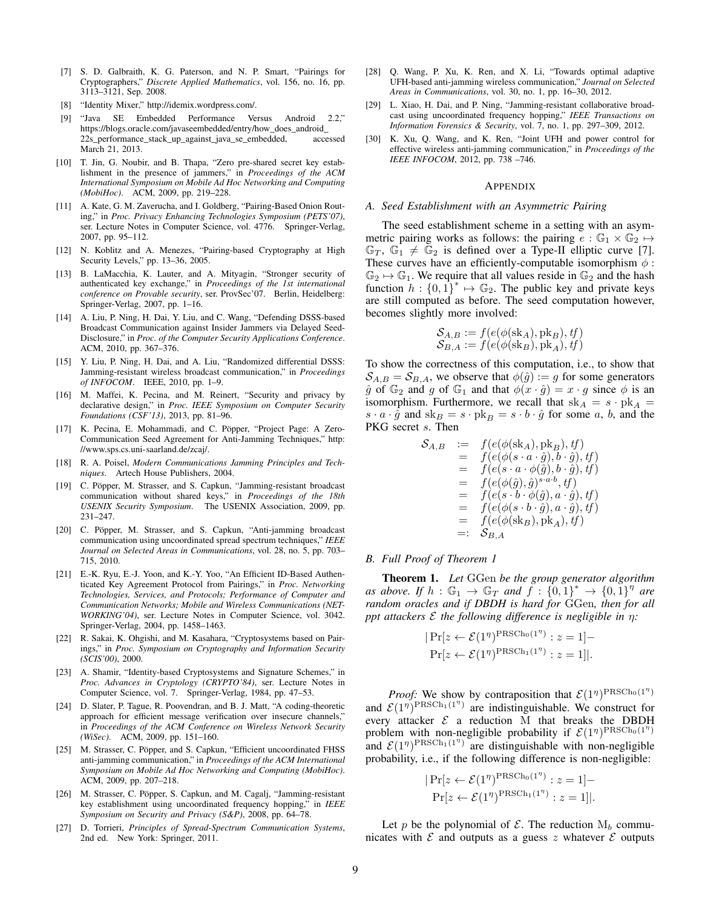- <span id="page-8-14"></span>[7] S. D. Galbraith, K. G. Paterson, and N. P. Smart, "Pairings for Cryptographers," *Discrete Applied Mathematics*, vol. 156, no. 16, pp. 3113–3121, Sep. 2008.
- <span id="page-8-21"></span>[8] "Identity Mixer," [http://idemix.word](http://idemix.wordpress.com/)press.com/.
- <span id="page-8-16"></span>[9] "Java SE Embedded Performance Versus Android 2.2," [https://blogs.oracl](https://blogs.oracle.com/javaseembedded/entry/how_does_android_22s_performance_stack_up_against_java_se_embedded)e.com/javaseembedded/entry/how\_does\_android\_ 22s\_performance\_stack\_up\_against\_java\_se\_embedded, accessed March 21, 2013.
- <span id="page-8-8"></span>[10] T. Jin, G. Noubir, and B. Thapa, "Zero pre-shared secret key establishment in the presence of jammers," in *Proceedings of the ACM International Symposium on Mobile Ad Hoc Networking and Computing (MobiHoc)*. ACM, 2009, pp. 219–228.
- <span id="page-8-18"></span>[11] A. Kate, G. M. Zaverucha, and I. Goldberg, "Pairing-Based Onion Routing," in *Proc. Privacy Enhancing Technologies Symposium (PETS'07)*, ser. Lecture Notes in Computer Science, vol. 4776. Springer-Verlag, 2007, pp. 95–112.
- <span id="page-8-15"></span>[12] N. Koblitz and A. Menezes, "Pairing-based Cryptography at High Security Levels," pp. 13–36, 2005.
- <span id="page-8-11"></span>[13] B. LaMacchia, K. Lauter, and A. Mityagin, "Stronger security of authenticated key exchange," in *Proceedings of the 1st international conference on Provable security*, ser. ProvSec'07. Berlin, Heidelberg: Springer-Verlag, 2007, pp. 1–16.
- <span id="page-8-22"></span>[14] A. Liu, P. Ning, H. Dai, Y. Liu, and C. Wang, "Defending DSSS-based Broadcast Communication against Insider Jammers via Delayed Seed-Disclosure," in *Proc. of the Computer Security Applications Conference*. ACM, 2010, pp. 367–376.
- <span id="page-8-23"></span>[15] Y. Liu, P. Ning, H. Dai, and A. Liu, "Randomized differential DSSS: Jamming-resistant wireless broadcast communication," in *Proceedings of INFOCOM*. IEEE, 2010, pp. 1–9.
- <span id="page-8-20"></span>[16] M. Maffei, K. Pecina, and M. Reinert, "Security and privacy by declarative design," in *Proc. IEEE Symposium on Computer Security Foundations (CSF'13)*, 2013, pp. 81–96.
- <span id="page-8-13"></span>[17] K. Pecina, E. Mohammadi, and C. Pöpper, "Project Page: A Zero-Communication Seed Agreement for Anti-Jamming Techniques," [http:](http://www.sps.cs.uni-saarland.de/zcaj/) //www.sps.cs.uni-saarland.de/zcaj/.
- <span id="page-8-0"></span>[18] R. A. Poisel, *Modern Communications Jamming Principles and Techniques*. Artech House Publishers, 2004.
- <span id="page-8-2"></span>[19] C. Pöpper, M. Strasser, and S. Capkun, "Jamming-resistant broadcast communication without shared keys," in *Proceedings of the 18th USENIX Security Symposium*. The USENIX Association, 2009, pp. 231–247.
- <span id="page-8-3"></span>[20] C. Pöpper, M. Strasser, and S. Capkun, "Anti-jamming broadcast communication using uncoordinated spread spectrum techniques," *IEEE Journal on Selected Areas in Communications*, vol. 28, no. 5, pp. 703– 715, 2010.
- <span id="page-8-10"></span>[21] E.-K. Ryu, E.-J. Yoon, and K.-Y. Yoo, "An Efficient ID-Based Authenticated Key Agreement Protocol from Pairings," in *Proc. Networking Technologies, Services, and Protocols; Performance of Computer and Communication Networks; Mobile and Wireless Communications (NET-WORKING'04)*, ser. Lecture Notes in Computer Science, vol. 3042. Springer-Verlag, 2004, pp. 1458–1463.
- <span id="page-8-19"></span>[22] R. Sakai, K. Ohgishi, and M. Kasahara, "Cryptosystems based on Pairings," in *Proc. Symposium on Cryptography and Information Security (SCIS'00)*, 2000.
- <span id="page-8-17"></span>[23] A. Shamir, "Identity-based Cryptosystems and Signature Schemes," in *Proc. Advances in Cryptology (CRYPTO'84)*, ser. Lecture Notes in Computer Science, vol. 7. Springer-Verlag, 1984, pp. 47–53.
- <span id="page-8-4"></span>[24] D. Slater, P. Tague, R. Poovendran, and B. J. Matt, "A coding-theoretic approach for efficient message verification over insecure channels," in *Proceedings of the ACM Conference on Wireless Network Security (WiSec)*. ACM, 2009, pp. 151–160.
- <span id="page-8-6"></span>[25] M. Strasser, C. Pöpper, and S. Capkun, "Efficient uncoordinated FHSS anti-jamming communication," in *Proceedings of the ACM International Symposium on Mobile Ad Hoc Networking and Computing (MobiHoc)*. ACM, 2009, pp. 207–218.
- <span id="page-8-5"></span>[26] M. Strasser, C. Pöpper, S. Capkun, and M. Cagalj, "Jamming-resistant key establishment using uncoordinated frequency hopping," in *IEEE Symposium on Security and Privacy (S&P)*, 2008, pp. 64–78.
- <span id="page-8-1"></span>[27] D. Torrieri, *Principles of Spread-Spectrum Communication Systems*, 2nd ed. New York: Springer, 2011.
- <span id="page-8-24"></span>[28] Q. Wang, P. Xu, K. Ren, and X. Li, "Towards optimal adaptive UFH-based anti-jamming wireless communication," *Journal on Selected Areas in Communications*, vol. 30, no. 1, pp. 16–30, 2012.
- <span id="page-8-25"></span>[29] L. Xiao, H. Dai, and P. Ning, "Jamming-resistant collaborative broadcast using uncoordinated frequency hopping," *IEEE Transactions on Information Forensics & Security*, vol. 7, no. 1, pp. 297–309, 2012.
- <span id="page-8-7"></span>[30] K. Xu, Q. Wang, and K. Ren, "Joint UFH and power control for effective wireless anti-jamming communication," in *Proceedings of the IEEE INFOCOM*, 2012, pp. 738 –746.

#### APPENDIX

## <span id="page-8-9"></span>*A. Seed Establishment with an Asymmetric Pairing*

The seed establishment scheme in a setting with an asymmetric pairing works as follows: the pairing  $e : \mathbb{G}_1 \times \mathbb{G}_2 \mapsto$  $\mathbb{G}_T$ ,  $\mathbb{G}_1 \neq \mathbb{G}_2$  is defined over a Type-II elliptic curve [\[7\]](#page-8-14). These curves have an efficiently-computable isomorphism  $\phi$ :  $\mathbb{G}_2 \mapsto \mathbb{G}_1$ . We require that all values reside in  $\mathbb{G}_2$  and the hash function  $h: \{0,1\}^* \mapsto \mathbb{G}_2$ . The public key and private keys are still computed as before. The seed computation however, becomes slightly more involved:

$$
\mathcal{S}_{A,B} := f(e(\phi(\text{sk}_A), \text{pk}_B), tf)
$$
  

$$
\mathcal{S}_{B,A} := f(e(\phi(\text{sk}_B), \text{pk}_A), tf)
$$

To show the correctness of this computation, i.e., to show that  $S_{A,B} = S_{B,A}$ , we observe that  $\phi(\hat{g}) := g$  for some generators  $\hat{g}$  of  $\mathbb{G}_2$  and *g* of  $\mathbb{G}_1$  and that  $\phi(x \cdot \hat{g}) = x \cdot g$  since  $\phi$  is an isomorphism. Furthermore, we recall that  $sk_A = s \cdot pk_A$  $s \cdot a \cdot \hat{g}$  and  $sk_B = s \cdot pk_B = s \cdot b \cdot \hat{g}$  for some *a*, *b*, and the PKG secret *s*. Then

$$
\begin{array}{rcl} \mathcal{S}_{A,B} & := & f(e(\phi(\mathrm{sk}_A),\mathrm{pk}_B),tf) \\ & = & f(e(\phi(s \cdot a \cdot \hat{g}),b \cdot \hat{g}),tf) \\ & = & f(e(s \cdot a \cdot \phi(\hat{g}),b \cdot \hat{g}),tf) \\ & = & f(e(\phi(\hat{g}),\hat{g})^{s \cdot a \cdot b},tf) \\ & = & f(e(s \cdot b \cdot \phi(\hat{g}),a \cdot \hat{g}),tf) \\ & = & f(e(\phi(s \cdot b \cdot \hat{g}),a \cdot \hat{g}),tf) \\ & = & f(e(\phi(\mathrm{sk}_B),\mathrm{pk}_A),tf) \\ & = & S_{B,A} \end{array}
$$

# <span id="page-8-12"></span>*B. Full Proof of Theorem [1](#page-5-2)*

Theorem [1.](#page-5-2) *Let* GGen *be the group generator algorithm as above. If*  $h : \mathbb{G}_1 \to \mathbb{G}_T$  and  $f : \{0,1\}^* \to \{0,1\}^{\eta}$  are *random oracles and if DBDH is hard for* GGen*, then for all ppt attackers*  $\mathcal E$  *the following difference is negligible in*  $\eta$ *:* 

$$
|\Pr[z \leftarrow \mathcal{E}(1^{\eta})^{\text{PRSCh}_0(1^{\eta})}: z = 1] -
$$
  

$$
|\Pr[z \leftarrow \mathcal{E}(1^{\eta})^{\text{PRSCh}_1(1^{\eta})}: z = 1]|.
$$

*Proof:* We show by contraposition that  $\mathcal{E}(1^n)^{\text{PRSCh}_0(1^n)}$ and  $\mathcal{E}(1\eta)^{\text{PRSCh}_1(1\eta)}$  are indistinguishable. We construct for every attacker  $\mathcal E$  a reduction M that breaks the DBDH problem with non-negligible probability if  $\mathcal{E}(1^n)^{\text{PRSCh}_0(1^n)}$ and  $\mathcal{E}(1^{\eta})^{\text{PRSCh}_1(1^{\eta})}$  are distinguishable with non-negligible probability, i.e., if the following difference is non-negligible:

$$
|\Pr[z \leftarrow \mathcal{E}(1^{\eta})^{\text{PRSCh}_0(1^{\eta})}: z = 1] -
$$
  
 
$$
|\Pr[z \leftarrow \mathcal{E}(1^{\eta})^{\text{PRSCh}_1(1^{\eta})}: z = 1]|.
$$

Let *p* be the polynomial of  $\mathcal{E}$ . The reduction  $M_b$  communicates with  $\mathcal E$  and outputs as a guess  $z$  whatever  $\mathcal E$  outputs